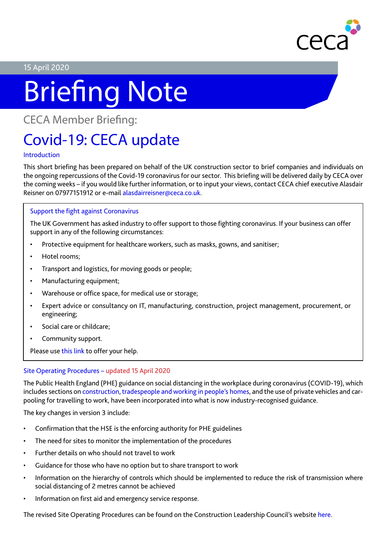

#### 15 April 2020

# Briefing Note

### CECA Member Briefing:

## Covid-19: CECA update

#### Introduction

This short briefing has been prepared on behalf of the UK construction sector to brief companies and individuals on the ongoing repercussions of the Covid-19 coronavirus for our sector. This briefing will be delivered daily by CECA over the coming weeks – if you would like further information, or to input your views, contact CECA chief executive Alasdair Reisner on 07977151912 or e-mail alasdairreisner@ceca.co.uk.

#### Support the fight against Coronavirus

The UK Government has asked industry to offer support to those fighting coronavirus. If your business can offer support in any of the following circumstances:

- Protective equipment for healthcare workers, such as masks, gowns, and sanitiser;
- Hotel rooms;
- Transport and logistics, for moving goods or people;
- Manufacturing equipment;
- Warehouse or office space, for medical use or storage;
- Expert advice or consultancy on IT, manufacturing, construction, project management, procurement, or engineering;
- Social care or childcare;
- Community support.

Please use [this link](https://www.gov.uk/coronavirus-support-from-business) to offer your help.

#### Site Operating Procedures – updated 15 April 2020

The Public Health England (PHE) guidance on social distancing in the workplace during coronavirus (COVID-19), which includes sections on [construction,](https://www.gov.uk/guidance/social-distancing-in-the-workplace-during-coronavirus-covid-19-sector-guidance#construction) [tradespeople and working in people's homes](https://www.gov.uk/guidance/social-distancing-in-the-workplace-during-coronavirus-covid-19-sector-guidance#tradespeople-and-working-in-peoples-homes), and the use of private vehicles and carpooling for travelling to work, have been incorporated into what is now industry-recognised guidance.

The key changes in version 3 include:

- Confirmation that the HSE is the enforcing authority for PHE guidelines
- The need for sites to monitor the implementation of the procedures
- Further details on who should not travel to work
- Guidance for those who have no option but to share transport to work
- Information on the hierarchy of controls which should be implemented to reduce the risk of transmission where social distancing of 2 metres cannot be achieved
- Information on first aid and emergency service response.

The revised Site Operating Procedures can be found on the Construction Leadership Council's website [here.](http://www.constructionleadershipcouncil.co.uk/news/site-operating-procedures-version-3-published/)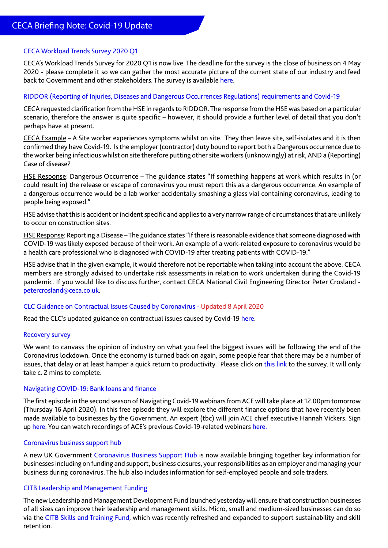#### CECA Workload Trends Survey 2020 Q1

CECA's Workload Trends Survey for 2020 Q1 is now live. The deadline for the survey is the close of business on 4 May 2020 - please complete it so we can gather the most accurate picture of the current state of our industry and feed back to Government and other stakeholders. The survey is available [here.](https://www.surveymonkey.co.uk/r/CECAWorkloadTrends2020Q1)

#### RIDDOR (Reporting of Injuries, Diseases and Dangerous Occurrences Regulations) requirements and Covid-19

CECA requested clarification from the HSE in regards to RIDDOR. The response from the HSE was based on a particular scenario, therefore the answer is quite specific – however, it should provide a further level of detail that you don't perhaps have at present.

CECA Example – A Site worker experiences symptoms whilst on site. They then leave site, self-isolates and it is then confirmed they have Covid-19. Is the employer (contractor) duty bound to report both a Dangerous occurrence due to the worker being infectious whilst on site therefore putting other site workers (unknowingly) at risk, AND a (Reporting) Case of disease?

HSE Response: Dangerous Occurrence – The guidance states "If something happens at work which results in (or could result in) the release or escape of coronavirus you must report this as a dangerous occurrence. An example of a dangerous occurrence would be a lab worker accidentally smashing a glass vial containing coronavirus, leading to people being exposed."

HSE advise that this is accident or incident specific and applies to a very narrow range of circumstances that are unlikely to occur on construction sites.

HSE Response: Reporting a Disease – The guidance states "If there is reasonable evidence that someone diagnosed with COVID-19 was likely exposed because of their work. An example of a work-related exposure to coronavirus would be a health care professional who is diagnosed with COVID-19 after treating patients with COVID-19."

HSE advise that In the given example, it would therefore not be reportable when taking into account the above. CECA members are strongly advised to undertake risk assessments in relation to work undertaken during the Covid-19 pandemic. If you would like to discuss further, contact CECA National Civil Engineering Director Peter Crosland petercrosland@ceca.co.uk.

#### CLC Guidance on Contractual Issues Caused by Coronavirus - Updated 8 April 2020

Read the CLC's updated guidance on contractual issues caused by Covid-19 [here](http://www.constructionleadershipcouncil.co.uk/wp-content/uploads/2020/04/Guidance-on-Contractual-Issues-Caused-by-Coronavirus-v2.pdf).

#### Recovery survey

We want to canvass the opinion of industry on what you feel the biggest issues will be following the end of the Coronavirus lockdown. Once the economy is turned back on again, some people fear that there may be a number of issues, that delay or at least hamper a quick return to productivity. Please click on [this link](https://www.surveymonkey.co.uk/r/82DVM5Q) to the survey. It will only take c. 2 mins to complete.

#### Navigating COVID-19: Bank loans and finance

The first episode in the second season of Navigating Covid-19 webinars from ACE will take place at 12.00pm tomorrow (Thursday 16 April 2020). In this free episode they will explore the different finance options that have recently been made available to businesses by the Government. An expert (tbc) will join ACE chief executive Hannah Vickers. Sign up [here](https://register.gotowebinar.com/register/8413342435593796107). You can watch recordings of ACE's previous Covid-19-related webinars here.

#### Coronavirus business support hub

A new UK Government [Coronavirus Business Support Hub](https://www.gov.uk/coronavirus/business-support) is now available bringing together key information for businesses including on funding and support, business closures, your responsibilities as an employer and managing your business during coronavirus. The hub also includes information for self-employed people and sole traders.

#### CITB Leadership and Management Funding

The new Leadership and Management Development Fund launched yesterday will ensure that construction businesses of all sizes can improve their leadership and management skills. Micro, small and medium-sized businesses can do so via the [CITB Skills and Training Fund,](https://www.citb.co.uk/about-citb/news-events-and-blogs/uk/2020/04/citb-refreshes-skills-and-training-fund-to-support-firms-hit-by-covid19/?_cldee=YWxhc2RhaXJyZWlzbmVyQGNlY2EuY28udWs%3d&recipientid=contact-f5008b3e099de51180c10050568158d2-2b625bb9978e4c5aa88bab83be9fb07b&esid=4f42c428-567e-ea11-a811-000d3ad7eea3) which was recently refreshed and expanded to support sustainability and skill retention.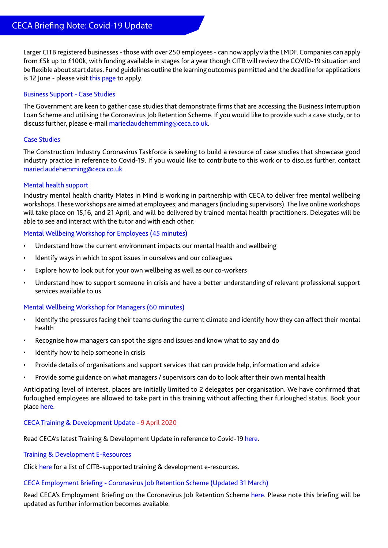Larger CITB registered businesses - those with over 250 employees - can now apply via the LMDF. Companies can apply from £5k up to £100k, with funding available in stages for a year though CITB will review the COVID-19 situation and be flexible about start dates. Fund guidelines outline the learning outcomes permitted and the deadline for applications is 12 June - please visit [this page](https://www.citb.co.uk/levy-grants-and-funding/grants-funding/leadership-and-management-development-fund/?_cldee=YWxhc2RhaXJyZWlzbmVyQGNlY2EuY28udWs%3d&recipientid=contact-f5008b3e099de51180c10050568158d2-2b625bb9978e4c5aa88bab83be9fb07b&esid=4f42c428-567e-ea11-a811-000d3ad7eea3) to apply.

#### Business Support - Case Studies

The Government are keen to gather case studies that demonstrate firms that are accessing the Business Interruption Loan Scheme and utilising the Coronavirus Job Retention Scheme. If you would like to provide such a case study, or to discuss further, please e-mail marieclaudehemming@ceca.co.uk.

#### Case Studies

The Construction Industry Coronavirus Taskforce is seeking to build a resource of case studies that showcase good industry practice in reference to Covid-19. If you would like to contribute to this work or to discuss further, contact marieclaudehemming@ceca.co.uk.

#### Mental health support

Industry mental health charity Mates in Mind is working in partnership with CECA to deliver free mental wellbeing workshops. These workshops are aimed at employees; and managers (including supervisors). The live online workshops will take place on 15,16, and 21 April, and will be delivered by trained mental health practitioners. Delegates will be able to see and interact with the tutor and with each other:

#### Mental Wellbeing Workshop for Employees (45 minutes)

- Understand how the current environment impacts our mental health and wellbeing
- Identify ways in which to spot issues in ourselves and our colleagues
- Explore how to look out for your own wellbeing as well as our co-workers
- Understand how to support someone in crisis and have a better understanding of relevant professional support services available to us.

#### Mental Wellbeing Workshop for Managers (60 minutes)

- Identify the pressures facing their teams during the current climate and identify how they can affect their mental health
- Recognise how managers can spot the signs and issues and know what to say and do
- Identify how to help someone in crisis
- Provide details of organisations and support services that can provide help, information and advice
- Provide some guidance on what managers / supervisors can do to look after their own mental health

Anticipating level of interest, places are initially limited to 2 delegates per organisation. We have confirmed that furloughed employees are allowed to take part in this training without affecting their furloughed status. Book your place [here.](https://www.eventbrite.co.uk/o/civil-engineering-contractors-association-8640910915)

#### CECA Training & Development Update - 9 April 2020

Read CECA's latest Training & Development Update in reference to Covid-19 [here.](https://www.ceca.co.uk/ceca-training-development-update-coronavirus-construction-9-april-2020/)

#### Training & Development E-Resources

Click [here](https://www.ceca.co.uk/training-development-e-resources/) for a list of CITB-supported training & development e-resources.

#### CECA Employment Briefing - Coronavirus Job Retention Scheme (Updated 31 March)

Read CECA's Employment Briefing on the Coronavirus Job Retention Scheme [here](https://www.ceca.co.uk/ceca-employment-briefing-coronavirus-job-retention-scheme-24-march-2020/). Please note this briefing will be updated as further information becomes available.